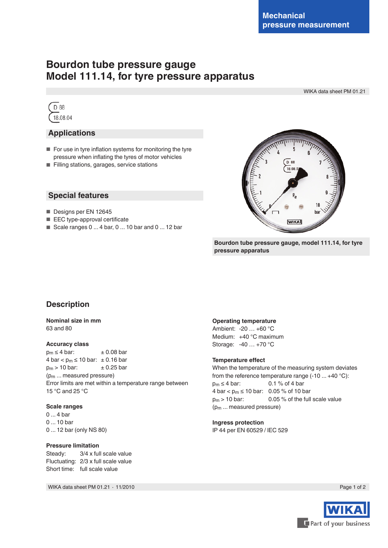# **Bourdon tube pressure gauge Model 111.14, for tyre pressure apparatus**

WIKA data sheet PM 01.21



## **Applications**

- For use in tyre inflation systems for monitoring the tyre pressure when inflating the tyres of motor vehicles
- Filling stations, garages, service stations

## **Special features**

- Designs per EN 12645
- EEC type-approval certificate
- Scale ranges 0 ... 4 bar, 0 ... 10 bar and 0 ... 12 bar



**Bourdon tube pressure gauge, model 111.14, for tyre pressure apparatus**

## **Description**

#### **Nominal size in mm** 63 and 80

#### **Accuracy class**

 $p_m \leq 4$  bar:  $\pm 0.08$  bar  $4 \text{ bar} < p_m \le 10 \text{ bar: } \pm 0.16 \text{ bar}$ <br> $p_m > 10 \text{ bar: } \pm 0.25 \text{ bar}$  $p_m$  > 10 bar: (pm ... measured pressure) Error limits are met within a temperature range between 15 °C and 25 °C

#### **Scale ranges**

0 ... 4 bar 0 ... 10 bar 0 ... 12 bar (only NS 80)

#### **Pressure limitation**

Steady: 3/4 x full scale value Fluctuating: 2/3 x full scale value Short time: full scale value

WIKA data sheet PM 01.21 ⋅ 11/2010 Page 1 of 2

#### **Operating temperature**

Ambient: -20 … +60 °C Medium: +40 °C maximum Storage: -40 … +70 °C

#### **Temperature effect**

When the temperature of the measuring system deviates from the reference temperature range  $(-10 ... +40 °C)$ :  $p_m \leq 4$  bar: 0.1 % of 4 bar 4 bar <  $p_m$  ≤ 10 bar: 0.05 % of 10 bar  $p_m$  > 10 bar: 0.05 % of the full scale value (pm ... measured pressure)

### **Ingress protection**

IP 44 per EN 60529 / lEC 529